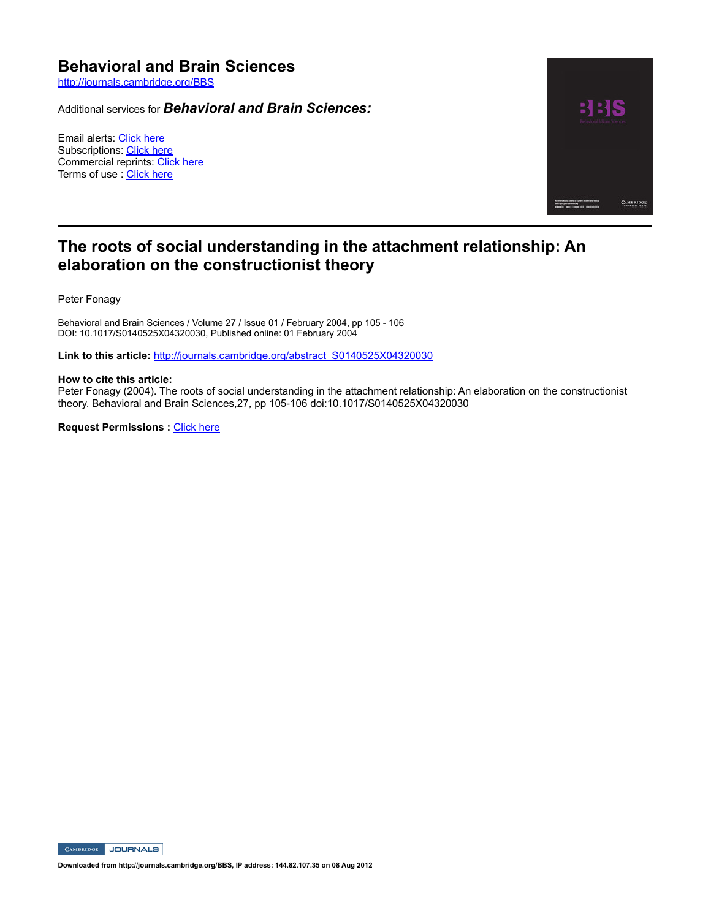## **Behavioral and Brain Sciences**

http://journals.cambridge.org/BBS

Additional services for *Behavioral and Brain Sciences:*

Email alerts: Click here Subscriptions: Click here Commercial reprints: Click here Terms of use : Click here



# **The roots of social understanding in the attachment relationship: An elaboration on the constructionist theory**

Peter Fonagy

Behavioral and Brain Sciences / Volume 27 / Issue 01 / February 2004, pp 105 - 106 DOI: 10.1017/S0140525X04320030, Published online: 01 February 2004

Link to this article: http://journals.cambridge.org/abstract\_S0140525X04320030

#### **How to cite this article:**

Peter Fonagy (2004). The roots of social understanding in the attachment relationship: An elaboration on the constructionist theory. Behavioral and Brain Sciences,27, pp 105106 doi:10.1017/S0140525X04320030

**Request Permissions : Click here** 

CAMBRIDGE JOURNALS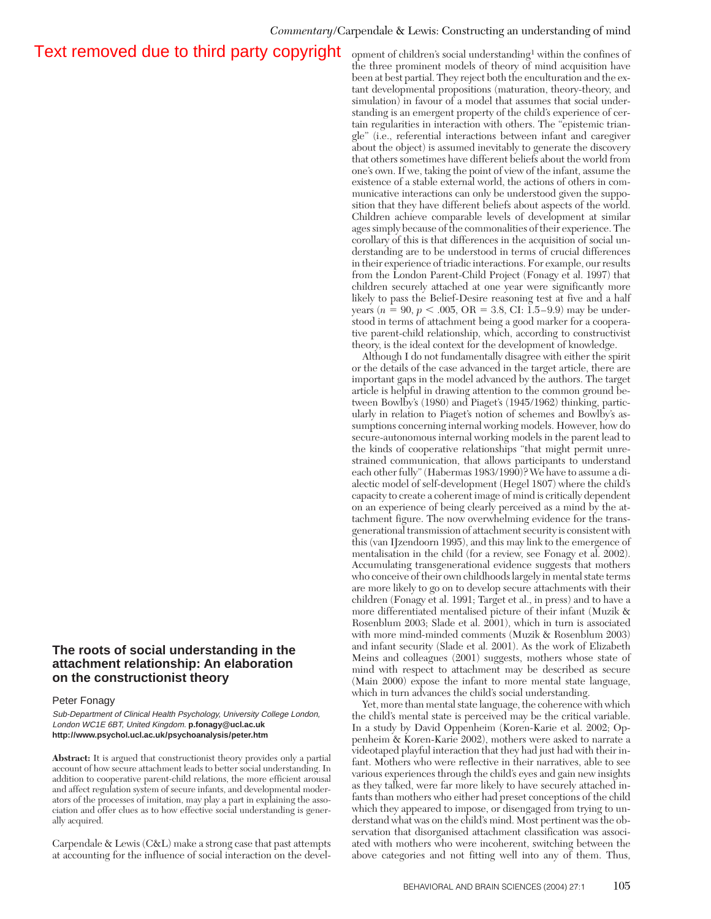### Text removed due to third party copyright

### **The roots of social understanding in the attachment relationship: An elaboration on the constructionist theory**

Peter Fonagy

Sub-Department of Clinical Health Psychology, University College London, London WC1E 6BT, United Kingdom. **p.fonagy@ucl.ac.uk http://www.psychol.ucl.ac.uk/psychoanalysis/peter.htm**

**Abstract:** It is argued that constructionist theory provides only a partial account of how secure attachment leads to better social understanding. In addition to cooperative parent-child relations, the more efficient arousal and affect regulation system of secure infants, and developmental moderators of the processes of imitation, may play a part in explaining the association and offer clues as to how effective social understanding is generally acquired.

Carpendale & Lewis (C&L) make a strong case that past attempts at accounting for the influence of social interaction on the development of children's social understanding1 within the confines of the three prominent models of theory of mind acquisition have been at best partial. They reject both the enculturation and the extant developmental propositions (maturation, theory-theory, and simulation) in favour of a model that assumes that social understanding is an emergent property of the child's experience of certain regularities in interaction with others. The "epistemic triangle" (i.e., referential interactions between infant and caregiver about the object) is assumed inevitably to generate the discovery that others sometimes have different beliefs about the world from one's own. If we, taking the point of view of the infant, assume the existence of a stable external world, the actions of others in communicative interactions can only be understood given the supposition that they have different beliefs about aspects of the world. Children achieve comparable levels of development at similar ages simply because of the commonalities of their experience. The corollary of this is that differences in the acquisition of social understanding are to be understood in terms of crucial differences in their experience of triadic interactions. For example, our results from the London Parent-Child Project (Fonagy et al. 1997) that children securely attached at one year were significantly more likely to pass the Belief-Desire reasoning test at five and a half years ( $n = 90$ ,  $p < .005$ , OR = 3.8, CI: 1.5–9.9) may be understood in terms of attachment being a good marker for a cooperative parent-child relationship, which, according to constructivist theory, is the ideal context for the development of knowledge.

Although I do not fundamentally disagree with either the spirit or the details of the case advanced in the target article, there are important gaps in the model advanced by the authors. The target article is helpful in drawing attention to the common ground between Bowlby's (1980) and Piaget's (1945/1962) thinking, particularly in relation to Piaget's notion of schemes and Bowlby's assumptions concerning internal working models. However, how do secure-autonomous internal working models in the parent lead to the kinds of cooperative relationships "that might permit unrestrained communication, that allows participants to understand each other fully" (Habermas 1983/1990)? We have to assume a dialectic model of self-development (Hegel 1807) where the child's capacity to create a coherent image of mind is critically dependent on an experience of being clearly perceived as a mind by the attachment figure. The now overwhelming evidence for the transgenerational transmission of attachment security is consistent with this (van IJzendoorn 1995), and this may link to the emergence of mentalisation in the child (for a review, see Fonagy et al. 2002). Accumulating transgenerational evidence suggests that mothers who conceive of their own childhoods largely in mental state terms are more likely to go on to develop secure attachments with their children (Fonagy et al. 1991; Target et al., in press) and to have a more differentiated mentalised picture of their infant (Muzik & Rosenblum 2003; Slade et al. 2001), which in turn is associated with more mind-minded comments (Muzik & Rosenblum 2003) and infant security (Slade et al. 2001). As the work of Elizabeth Meins and colleagues (2001) suggests, mothers whose state of mind with respect to attachment may be described as secure (Main 2000) expose the infant to more mental state language, which in turn advances the child's social understanding.

Yet, more than mental state language, the coherence with which the child's mental state is perceived may be the critical variable. In a study by David Oppenheim (Koren-Karie et al. 2002; Oppenheim & Koren-Karie 2002), mothers were asked to narrate a videotaped playful interaction that they had just had with their infant. Mothers who were reflective in their narratives, able to see various experiences through the child's eyes and gain new insights as they talked, were far more likely to have securely attached infants than mothers who either had preset conceptions of the child which they appeared to impose, or disengaged from trying to understand what was on the child's mind. Most pertinent was the observation that disorganised attachment classification was associated with mothers who were incoherent, switching between the above categories and not fitting well into any of them. Thus,